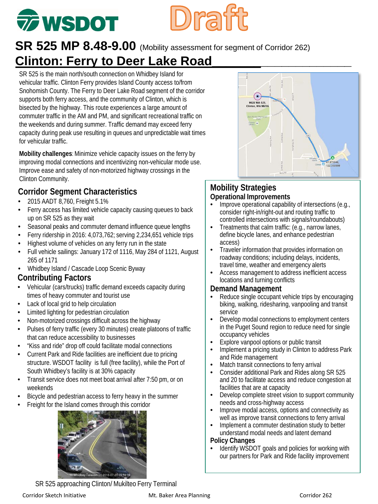# **77 WSDOT**

## SR 525 MP 8.48-9.00 (Mobility assessment for segment of Corridor 262) **Clinton: Ferry to Deer Lake Road**

SR 525 is the main north/south connection on Whidbey Island for vehicular traffic. Clinton Ferry provides Island County access to/from Snohomish County. The Ferry to Deer Lake Road segment of the corridor supports both ferry access, and the community of Clinton, which is bisected by the highway. This route experiences a large amount of commuter traffic in the AM and PM, and significant recreational traffic on the weekends and during summer. Traffic demand may exceed ferry capacity during peak use resulting in queues and unpredictable wait times for vehicular traffic.

**Mobility challenges**: Minimize vehicle capacity issues on the ferry by improving modal connections and incentivizing non-vehicular mode use. Improve ease and safety of non-motorized highway crossings in the Clinton Community.

## **Corridor Segment Characteristics**

- 2015 AADT 8,760, Freight 5.1%
- Ferry access has limited vehicle capacity causing queues to back up on SR 525 as they wait
- Seasonal peaks and commuter demand influence queue lengths
- Ferry ridership in 2016: 4,073,762; serving 2,234,651 vehicle trips
- Highest volume of vehicles on any ferry run in the state
- Full vehicle sailings: January 172 of 1116, May 284 of 1121, August 265 of 1171
- Whidbey Island / Cascade Loop Scenic Byway

#### **Contributing Factors**

- Vehicular (cars/trucks) traffic demand exceeds capacity during times of heavy commuter and tourist use
- Lack of local grid to help circulation
- Limited lighting for pedestrian circulation
- Non-motorized crossings difficult across the highway
- Pulses of ferry traffic (every 30 minutes) create platoons of traffic that can reduce accessibility to businesses
- "Kiss and ride" drop off could facilitate modal connections
- Current Park and Ride facilities are inefficient due to pricing structure. WSDOT facility is full (free facility), while the Port of South Whidbey's facility is at 30% capacity
- Transit service does not meet boat arrival after 7:50 pm, or on weekends
- Bicycle and pedestrian access to ferry heavy in the summer
- Freight for the Island comes through this corridor



SR 525 approaching Clinton/ Mukilteo Ferry Terminal



#### **Mobility Strategies Operational Improvements**

- Improve operational capability of intersections (e.g., consider right-in/right-out and routing traffic to controlled intersections with signals/roundabouts)
- Treatments that calm traffic: (e.g., narrow lanes, define bicycle lanes, and enhance pedestrian access)
- Traveler information that provides information on roadway conditions; including delays, incidents, travel time, weather and emergency alerts
- Access management to address inefficient access locations and turning conflicts

#### **Demand Management**

- Reduce single occupant vehicle trips by encouraging biking, walking, ridesharing, vanpooling and transit service
- Develop modal connections to employment centers in the Puget Sound region to reduce need for single occupancy vehicles
- Explore vanpool options or public transit
- Implement a pricing study in Clinton to address Park and Ride management
- Match transit connections to ferry arrival
- Consider additional Park and Rides along SR 525 and 20 to facilitate access and reduce congestion at facilities that are at capacity
- Develop complete street vision to support community needs and cross-highway access
- Improve modal access, options and connectivity as well as improve transit connections to ferry arrival
- Implement a commuter destination study to better understand modal needs and latent demand

#### **Policy Changes**

• Identify WSDOT goals and policies for working with our partners for Park and Ride facility improvement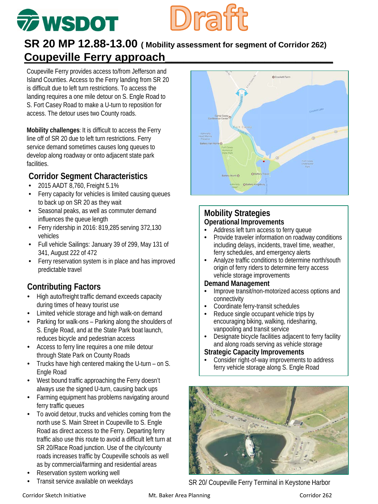## **TO WSDOT**

## **SR 20 MP 12.88-13.00 ( Mobility assessment for segment of Corridor 262) Coupeville Ferry approach\_\_\_\_\_\_\_\_\_\_\_\_\_\_\_\_\_\_\_\_\_\_\_\_\_\_\_**

Coupeville Ferry provides access to/from Jefferson and Island Counties. Access to the Ferry landing from SR 20 is difficult due to left turn restrictions. To access the landing requires a one mile detour on S. Engle Road to S. Fort Casey Road to make a U-turn to reposition for access. The detour uses two County roads.

**Mobility challenges**: It is difficult to access the Ferry line off of SR 20 due to left turn restrictions. Ferry service demand sometimes causes long queues to develop along roadway or onto adjacent state park facilities.

### **Corridor Segment Characteristics**

- 2015 AADT 8,760, Freight 5.1%
- Ferry capacity for vehicles is limited causing queues to back up on SR 20 as they wait
- Seasonal peaks, as well as commuter demand influences the queue length
- Ferry ridership in 2016: 819,285 serving 372,130 vehicles
- Full vehicle Sailings: January 39 of 299, May 131 of 341, August 222 of 472
- Ferry reservation system is in place and has improved predictable travel

## **Contributing Factors**

- High auto/freight traffic demand exceeds capacity during times of heavy tourist use
- Limited vehicle storage and high walk-on demand
- Parking for walk-ons Parking along the shoulders of S. Engle Road, and at the State Park boat launch, reduces bicycle and pedestrian access
- Access to ferry line requires a one mile detour through State Park on County Roads
- Trucks have high centered making the U-turn on S. Engle Road
- West bound traffic approaching the Ferry doesn't always use the signed U-turn, causing back ups
- Farming equipment has problems navigating around ferry traffic queues
- To avoid detour, trucks and vehicles coming from the north use S. Main Street in Coupeville to S. Engle Road as direct access to the Ferry. Departing ferry traffic also use this route to avoid a difficult left turn at SR 20/Race Road junction. Use of the city/county roads increases traffic by Coupeville schools as well as by commercial/farming and residential areas
- Reservation system working well
- Transit service available on weekdays
- **Mobility Strategies Operational Improvements**
	- Address left turn access to ferry queue
	- Provide traveler information on roadway conditions including delays, incidents, travel time, weather, ferry schedules, and emergency alerts
	- Analyze traffic conditions to determine north/south origin of ferry riders to determine ferry access vehicle storage improvements

#### **Demand Management**

- Improve transit/non-motorized access options and connectivity
- Coordinate ferry-transit schedules<br>• Peduce single occupant vehicle tri
- Reduce single occupant vehicle trips by encouraging biking, walking, ridesharing, vanpooling and transit service
- Designate bicycle facilities adjacent to ferry facility and along roads serving as vehicle storage

#### **Strategic Capacity Improvements**

• Consider right-of-way improvements to address ferry vehicle storage along S. Engle Road



SR 20/ Coupeville Ferry Terminal in Keystone Harbor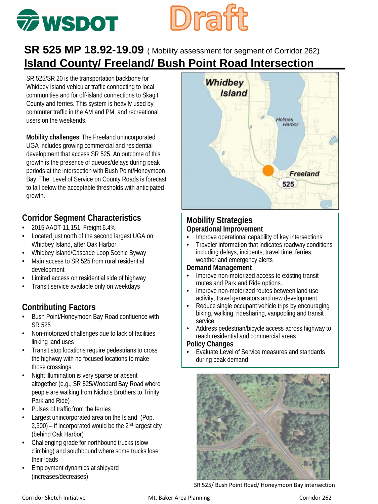## **Diraiff The WSDOT**

## **SR 525 MP 18.92-19.09** ( Mobility assessment for segment of Corridor 262) **Island County/ Freeland/ Bush Point Road Intersection\_\_\_\_\_**

SR 525/SR 20 is the transportation backbone for Whidbey Island vehicular traffic connecting to local communities and for off-island connections to Skagit County and ferries. This system is heavily used by commuter traffic in the AM and PM, and recreational users on the weekends.

**Mobility challenges**: The Freeland unincorporated UGA includes growing commercial and residential development that access SR 525. An outcome of this growth is the presence of queues/delays during peak periods at the intersection with Bush Point/Honeymoon Bay. The Level of Service on County Roads is forecast to fall below the acceptable thresholds with anticipated growth.

### **Corridor Segment Characteristics**

- 2015 AADT 11,151, Freight 6.4%
- Located just north of the second largest UGA on Whidbey Island, after Oak Harbor
- Whidbey Island/Cascade Loop Scenic Byway
- Main access to SR 525 from rural residential development
- Limited access on residential side of highway
- Transit service available only on weekdays

## **Contributing Factors**

- Bush Point/Honeymoon Bay Road confluence with SR 525
- Non-motorized challenges due to lack of facilities linking land uses
- Transit stop locations require pedestrians to cross the highway with no focused locations to make those crossings
- Night illumination is very sparse or absent altogether (e.g., SR 525/Woodard Bay Road where people are walking from Nichols Brothers to Trinity Park and Ride)
- Pulses of traffic from the ferries
- Largest unincorporated area on the Island (Pop.  $2,300$  – if incorporated would be the  $2<sup>nd</sup>$  largest city (behind Oak Harbor)
- Challenging grade for northbound trucks (slow climbing) and southbound where some trucks lose their loads
- Employment dynamics at shipyard (increases/decreases)



#### **Mobility Strategies Operational Improvement**

- Improve operational capability of key intersections
- Traveler information that indicates roadway conditions including delays, incidents, travel time, ferries, weather and emergency alerts

#### **Demand Management**

- Improve non-motorized access to existing transit routes and Park and Ride options.
- Improve non-motorized routes between land use activity, travel generators and new development
- Reduce single occupant vehicle trips by encouraging biking, walking, ridesharing, vanpooling and transit service
- Address pedestrian/bicycle access across highway to reach residential and commercial areas

#### **Policy Changes**

Evaluate Level of Service measures and standards during peak demand



SR 525/ Bush Point Road/ Honeymoon Bay intersection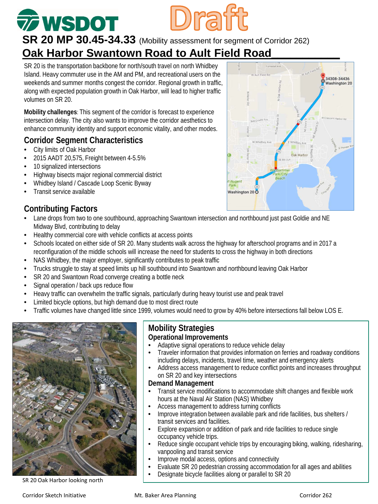## *T***WSDOT SR 20 MP 30.45-34.33** (Mobility assessment for segment of Corridor 262)

## **Oak Harbor Swantown Road to Ault Field Road**

SR 20 is the transportation backbone for north/south travel on north Whidbey Island. Heavy commuter use in the AM and PM, and recreational users on the weekends and summer months congest the corridor. Regional growth in traffic, along with expected population growth in Oak Harbor, will lead to higher traffic volumes on SR 20.

**Mobility challenges**: This segment of the corridor is forecast to experience intersection delay. The city also wants to improve the corridor aesthetics to enhance community identity and support economic vitality, and other modes.

#### **Corridor Segment Characteristics**

- City limits of Oak Harbor
- 2015 AADT 20,575, Freight between 4-5.5%
- 10 signalized intersections
- Highway bisects major regional commercial district
- Whidbey Island / Cascade Loop Scenic Byway
- Transit service available

#### **Contributing Factors**

- Lane drops from two to one southbound, approaching Swantown intersection and northbound just past Goldie and NE Midway Blvd, contributing to delay
- Healthy commercial core with vehicle conflicts at access points
- Schools located on either side of SR 20. Many students walk across the highway for afterschool programs and in 2017 a reconfiguration of the middle schools will increase the need for students to cross the highway in both directions
- NAS Whidbey, the major employer, significantly contributes to peak traffic
- Trucks struggle to stay at speed limits up hill southbound into Swantown and northbound leaving Oak Harbor
- SR 20 and Swantown Road converge creating a bottle neck
- Signal operation / back ups reduce flow
- Heavy traffic can overwhelm the traffic signals, particularly during heavy tourist use and peak travel
- Limited bicycle options, but high demand due to most direct route
- Traffic volumes have changed little since 1999, volumes would need to grow by 40% before intersections fall below LOS E.



SR 20 Oak Harbor looking north

#### **Mobility Strategies Operational Improvements**

- Adaptive signal operations to reduce vehicle delay
- Traveler information that provides information on ferries and roadway conditions including delays, incidents, travel time, weather and emergency alerts
- Address access management to reduce conflict points and increases throughput on SR 20 and key intersections

#### **Demand Management**

- Transit service modifications to accommodate shift changes and flexible work hours at the Naval Air Station (NAS) Whidbey
- Access management to address turning conflicts
- Improve integration between available park and ride facilities, bus shelters / transit services and facilities.
- Explore expansion or addition of park and ride facilities to reduce single occupancy vehicle trips.
- Reduce single occupant vehicle trips by encouraging biking, walking, ridesharing, vanpooling and transit service
- Improve modal access, options and connectivity
- Evaluate SR 20 pedestrian crossing accommodation for all ages and abilities
- Designate bicycle facilities along or parallel to SR 20